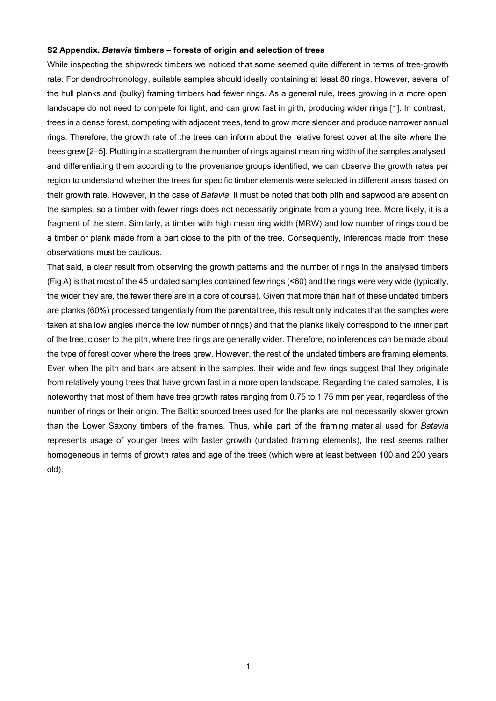## **S2 Appendix.** *Batavia* **timbers – forests of origin and selection of trees**

While inspecting the shipwreck timbers we noticed that some seemed quite different in terms of tree-growth rate. For dendrochronology, suitable samples should ideally containing at least 80 rings. However, several of the hull planks and (bulky) framing timbers had fewer rings. As a general rule, trees growing in a more open landscape do not need to compete for light, and can grow fast in girth, producing wider rings [1]. In contrast, trees in a dense forest, competing with adjacent trees, tend to grow more slender and produce narrower annual rings. Therefore, the growth rate of the trees can inform about the relative forest cover at the site where the trees grew [2–5]. Plotting in a scattergram the number of rings against mean ring width of the samples analysed and differentiating them according to the provenance groups identified, we can observe the growth rates per region to understand whether the trees for specific timber elements were selected in different areas based on their growth rate. However, in the case of *Batavia*, it must be noted that both pith and sapwood are absent on the samples, so a timber with fewer rings does not necessarily originate from a young tree. More likely, it is a fragment of the stem. Similarly, a timber with high mean ring width (MRW) and low number of rings could be a timber or plank made from a part close to the pith of the tree. Consequently, inferences made from these observations must be cautious.

That said, a clear result from observing the growth patterns and the number of rings in the analysed timbers (Fig A) is that most of the 45 undated samples contained few rings (<60) and the rings were very wide (typically, the wider they are, the fewer there are in a core of course). Given that more than half of these undated timbers are planks (60%) processed tangentially from the parental tree, this result only indicates that the samples were taken at shallow angles (hence the low number of rings) and that the planks likely correspond to the inner part of the tree, closer to the pith, where tree rings are generally wider. Therefore, no inferences can be made about the type of forest cover where the trees grew. However, the rest of the undated timbers are framing elements. Even when the pith and bark are absent in the samples, their wide and few rings suggest that they originate from relatively young trees that have grown fast in a more open landscape. Regarding the dated samples, it is noteworthy that most of them have tree growth rates ranging from 0.75 to 1.75 mm per year, regardless of the number of rings or their origin. The Baltic sourced trees used for the planks are not necessarily slower grown than the Lower Saxony timbers of the frames. Thus, while part of the framing material used for *Batavia* represents usage of younger trees with faster growth (undated framing elements), the rest seems rather homogeneous in terms of growth rates and age of the trees (which were at least between 100 and 200 years old).